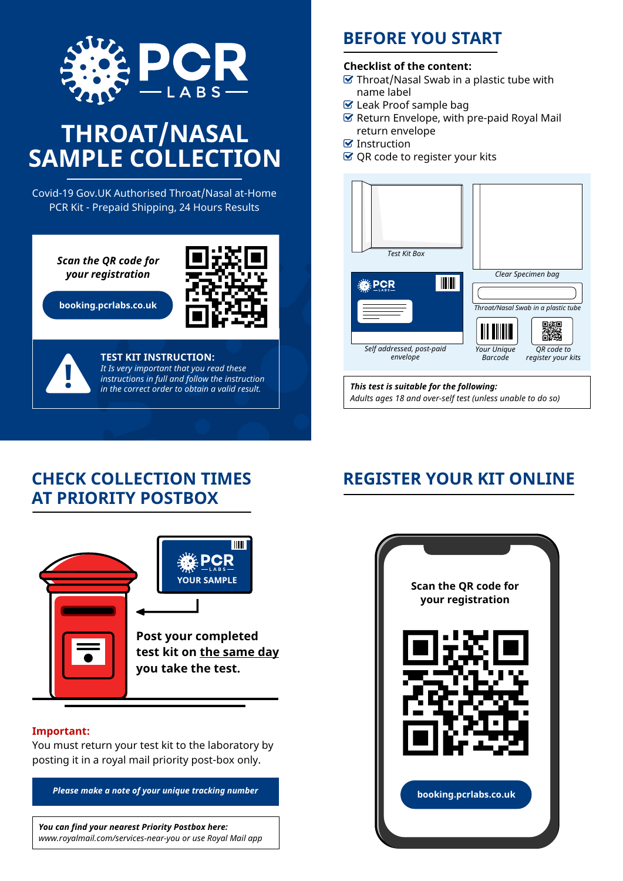

# **THROAT/NASAL SAMPLE COLLECTION**

Covid-19 Gov.UK Authorised Throat/Nasal at-Home PCR Kit - Prepaid Shipping, 24 Hours Results

> *Scan the QR code for your registration*

**booking.pcrlabs.co.uk** 





### **TEST KIT INSTRUCTION:** *It Is very important that you read these instructions in full and follow the instruction* **!** *in the correct order to obtain a valid result.*

### **BEFORE YOU START**

#### **Checklist of the content:**

- $\triangledown$  Throat/Nasal Swab in a plastic tube with name label
- Leak Proof sample bag
- $\mathcal G$  Return Envelope, with pre-paid Royal Mail return envelope
- $\blacksquare$  Instruction
- $\heartsuit$  QR code to register your kits



*This test is suitable for the following: Adults ages 18 and over-self test (unless unable to do so)*

### **CHECK COLLECTION TIMES AT PRIORITY POSTBOX**



#### **Important:**

You must return your test kit to the laboratory by posting it in a royal mail priority post-box only.

*Please make a note of your unique tracking number*

*You can find your nearest Priority Postbox here: www.royalmail.com/services-near-you or use Royal Mail app*

## **REGISTER YOUR KIT ONLINE**